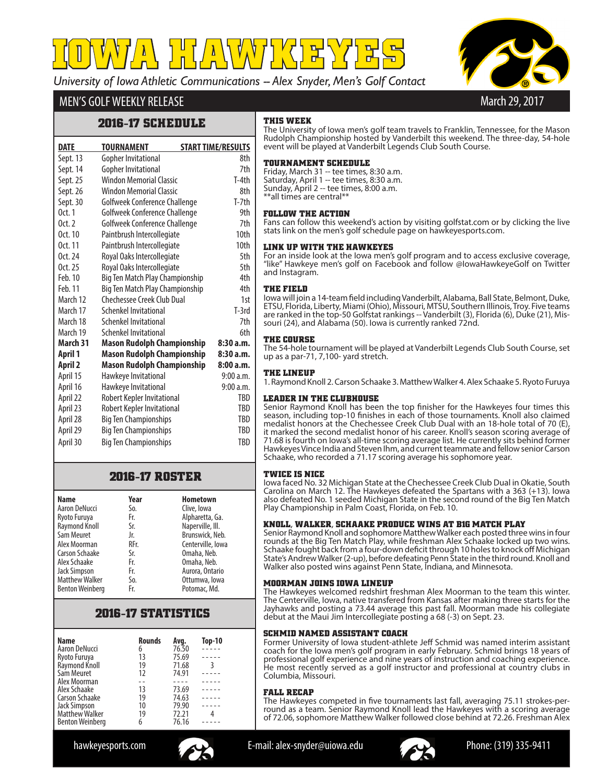*University of Iowa Athletic Communications -- Alex Snyder, Men's Golf Contact* **IOWA HAWKEYES**



# MEN'S GOLF WEEKLY RELEASE

## **2016-17 SCHEDULE**

| <b>DATE</b>    | TOURNAMENT                        | <b>START TIME/RESULTS</b> |                  |
|----------------|-----------------------------------|---------------------------|------------------|
| Sept. 13       | <b>Gopher Invitational</b>        |                           | 8th              |
| Sept. 14       | <b>Gopher Invitational</b>        |                           | 7th              |
| Sept. 25       | <b>Windon Memorial Classic</b>    |                           | T-4th            |
| Sept. 26       | Windon Memorial Classic           |                           | 8th              |
| Sept. 30       | Golfweek Conference Challenge     |                           | $T-7th$          |
| 0ct.1          | Golfweek Conference Challenge     |                           | 9th              |
| $0$ ct. $2$    | Golfweek Conference Challenge     |                           | 7th              |
| Oct. 10        | Paintbrush Intercollegiate        |                           | 10 <sub>th</sub> |
| 0ct. 11        | Paintbrush Intercollegiate        |                           | 10 <sub>th</sub> |
| Oct. $24$      | Royal Oaks Intercollegiate        |                           | 5th              |
| 0ct.25         | Royal Oaks Intercollegiate        |                           | 5th              |
| Feb. 10        | Big Ten Match Play Championship   |                           | 4th              |
| Feb. 11        | Big Ten Match Play Championship   |                           | 4th              |
| March 12       | Chechessee Creek Club Dual        |                           | 1st              |
| March 17       | Schenkel Invitational             |                           | $T-3rd$          |
| March 18       | Schenkel Invitational             |                           | 7th              |
| March 19       | Schenkel Invitational             |                           | 6th              |
| March 31       | <b>Mason Rudolph Championship</b> |                           | 8:30a.m.         |
| April 1        | <b>Mason Rudolph Championship</b> |                           | 8:30 a.m.        |
| <b>April 2</b> | <b>Mason Rudolph Championship</b> |                           | 8:00a.m.         |
| April 15       | Hawkeye Invitational              |                           | 9:00a.m.         |
| April 16       | Hawkeye Invitational              |                           | 9:00a.m.         |
| April 22       | Robert Kepler Invitational        |                           | TBD              |
| April 23       | Robert Kepler Invitational        |                           | <b>TRD</b>       |
| April 28       | <b>Big Ten Championships</b>      |                           | <b>TRD</b>       |
| April 29       | <b>Big Ten Championships</b>      |                           | TBD              |
| April 30       | <b>Big Ten Championships</b>      |                           | TRD              |

# **2016-17 ROSTER**

| <b>Name</b>            | Year | <b>Hometown</b>   |
|------------------------|------|-------------------|
| Aaron DeNucci          | So.  | Clive, Iowa       |
| Ryoto Furuya           | Fr.  | Alpharetta, Ga.   |
| Raymond Knoll          | Sr.  | Naperville, Ill.  |
| Sam Meuret             | Jr.  | Brunswick, Neb.   |
| Alex Moorman           | RFr. | Centerville, Iowa |
| <b>Carson Schaake</b>  | Sr.  | Omaha, Neb.       |
| Alex Schaake           | Fr.  | Omaha, Neb.       |
| <b>Jack Simpson</b>    | Fr.  | Aurora, Ontario   |
| <b>Matthew Walker</b>  | So.  | Ottumwa, lowa     |
| <b>Benton Weinberg</b> | Fr.  | Potomac, Md.      |

# **2016-17 STATISTICS**

| Name                           | <b>Rounds</b> | Avg.  | <b>Top-10</b> |
|--------------------------------|---------------|-------|---------------|
| Aaron DeNucci                  | 6             | 76.50 |               |
| Ryoto Furuya                   | 13            | 75.69 |               |
| Raymond Knoll                  | 19            | 71.68 | 3             |
| Sam Meuret                     | 12            | 74.91 |               |
| Alex Moorman                   |               |       |               |
| Alex Schaake                   | 13            | 73.69 |               |
| Carson Schaake                 | 19            | 74.63 |               |
| Jack Simpson<br>Matthew Walker | 10            | 79.90 |               |
|                                | 19            | 72.21 |               |
| <b>Benton Weinberg</b>         | 6             | 76.16 |               |

## **THIS WEEK**

The University of Iowa men's golf team travels to Franklin, Tennessee, for the Mason Rudolph Championship hosted by Vanderbilt this weekend. The three-day, 54-hole event will be played at Vanderbilt Legends Club South Course.

## **TOURNAMENT SCHEDULE**

Friday, March 31 -- tee times, 8:30 a.m. Saturday, April 1 -- tee times, 8:30 a.m. Sunday, April 2 -- tee times, 8:00 a.m.

\*\*all times are central\*\*

### **FOLLOW THE ACTION**

Fans can follow this weekend's action by visiting golfstat.com or by clicking the live stats link on the men's golf schedule page on hawkeyesports.com.

### **LINK UP WITH THE HAWKEYES**

For an inside look at the Iowa men's golf program and to access exclusive coverage, "like" Hawkeye men's golf on Facebook and follow @IowaHawkeyeGolf on Twitter and Instagram.

### **THE FIELD**

Iowa will join a 14-team field including Vanderbilt, Alabama, Ball State, Belmont, Duke, ETSU, Florida, Liberty, Miami (Ohio), Missouri, MTSU, Southern Illinois, Troy. Five teams are ranked in the top-50 Golfstat rankings -- Vanderbilt (3), Florida (6), Duke (21), Mis-<br>souri (24), and Alabama (50). Iowa is currently ranked 72nd.

## **THE COURSE**

The 54-hole tournament will be played at Vanderbilt Legends Club South Course, set up as a par-71, 7,100- yard stretch.

## **THE LINEUP**

1. Raymond Knoll 2. Carson Schaake 3. Matthew Walker 4. Alex Schaake 5. Ryoto Furuya

### **LEADER IN THE CLUBHOUSE**

Senior Raymond Knoll has been the top finisher for the Hawkeyes four times this season, including top-10 finishes in each of those tournaments. Knoll also claimed medalist honors at the Chechessee Creek Club Dual with an 18-hole total of 70 (E), it marked the second medalist honor of his career. Knoll's season scoring average of 71.68 is fourth on Iowa's all-time scoring average list. He currently sits behind former Hawkeyes Vince India and Steven Ihm, and current teammate and fellow senior Carson Schaake, who recorded a 71.17 scoring average his sophomore year.

### **TWICE IS NICE**

Iowa faced No. 32 Michigan State at the Chechessee Creek Club Dual in Okatie, South Carolina on March 12. The Hawkeyes defeated the Spartans with a 363 (+13). Iowa also defeated No. 1 seeded Michigan State in the second round of the Big Ten Match Play Championship in Palm Coast, Florida, on Feb. 10.

## **KNOLL, WALKER, SCHAAKE PRODUCE WINS AT B1G MATCH PLAY**

Senior Raymond Knoll and sophomore Matthew Walker each posted three wins in four rounds at the Big Ten Match Play, while freshman Alex Schaake locked up two wins. Schaake fought back from a four-down deficit through 10 holes to knock off Michigan State's Andrew Walker (2-up), before defeating Penn State in the third round. Knoll and Walker also posted wins against Penn State, Indiana, and Minnesota.

### **MOORMAN JOINS IOWA LINEUP**

The Hawkeyes welcomed redshirt freshman Alex Moorman to the team this winter. The Centerville, Iowa, native transfered from Kansas after making three starts for the Jayhawks and posting a 73.44 average this past fall. Moorman made his collegiate debut at the Maui Jim Intercollegiate posting a 68 (-3) on Sept. 23.

## **SCHMID NAMED ASSISTANT COACH**

Former University of Iowa student-athlete Jeff Schmid was named interim assistant coach for the Iowa men's golf program in early February. Schmid brings 18 years of professional golf experience and nine years of instruction and coaching experience. He most recently served as a golf instructor and professional at country clubs in Columbia, Missouri.

### **FALL RECAP**

The Hawkeyes competed in five tournaments last fall, averaging 75.11 strokes-perround as a team. Senior Raymond Knoll lead the Hawkeyes with a scoring average of 72.06, sophomore Matthew Walker followed close behind at 72.26. Freshman Alex